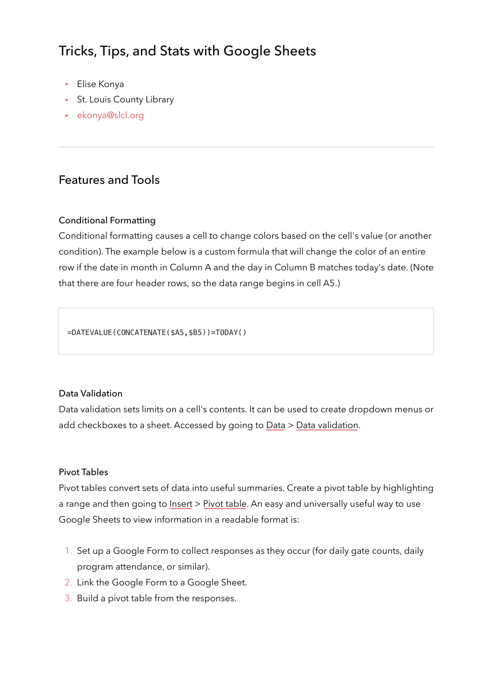# Tricks, Tips, and Stats with Google Sheets

- Elise Konya
- St. Louis County Library
- [ekonya@slcl.org](mailto:ekonya@slcl.org)

## Features and Tools

#### Conditional Formatting

Conditional formatting causes a cell to change colors based on the cell's value (or another condition). The example below is a custom formula that will change the color of an entire row if the date in month in Column A and the day in Column B matches today's date. (Note that there are four header rows, so the data range begins in cell A5.)

=DATEVALUE(CONCATENATE(\$A5,\$B5))=TODAY()

#### Data Validation

Data validation sets limits on a cell's contents. It can be used to create dropdown menus or add checkboxes to a sheet. Accessed by going to Data > Data validation.

#### Pivot Tables

Pivot tables convert sets of data into useful summaries. Create a pivot table by highlighting a range and then going to Insert > Pivot table. An easy and universally useful way to use Google Sheets to view information in a readable format is:

- 1. Set up a Google Form to collect responses as they occur (for daily gate counts, daily program attendance, or similar).
- 2. Link the Google Form to a Google Sheet.
- 3. Build a pivot table from the responses.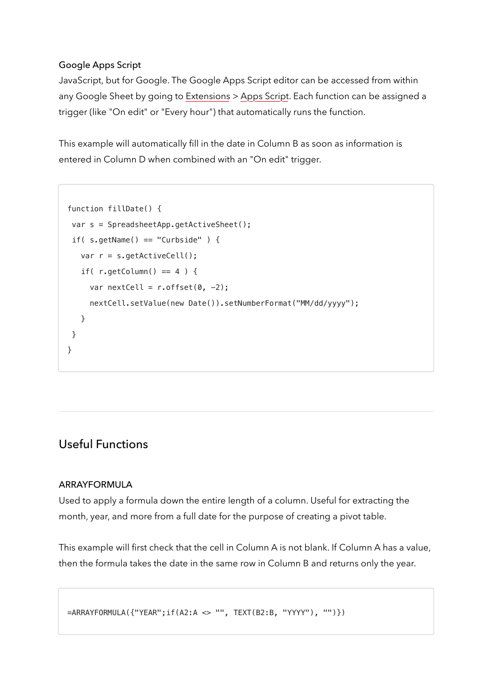## Google Apps Script

JavaScript, but for Google. The Google Apps Script editor can be accessed from within any Google Sheet by going to Extensions > Apps Script. Each function can be assigned a trigger (like "On edit" or "Every hour") that automatically runs the function.

This example will automatically fill in the date in Column B as soon as information is entered in Column D when combined with an "On edit" trigger.

```
function fillDate() {
 var s = SpreadsheetApp.getActiveSheet();
if( s.getName() == "Curbside" ) {
   var r = s.getActiveCell();
   if( r.getColumn() == 4 ) {
     var nextCell = r \cdot \text{offset}(0, -2);
      nextCell.setValue(new Date()).setNumberFormat("MM/dd/yyyy");
    }
 }
}
```
## Useful Functions

#### ARRAYFORMULA

Used to apply a formula down the entire length of a column. Useful for extracting the month, year, and more from a full date for the purpose of creating a pivot table.

This example will first check that the cell in Column A is not blank. If Column A has a value, then the formula takes the date in the same row in Column B and returns only the year.

```
=ARRAYFORMULA({"YEAR";if(A2:A <> "", TEXT(B2:B, "YYYY"), "")})
```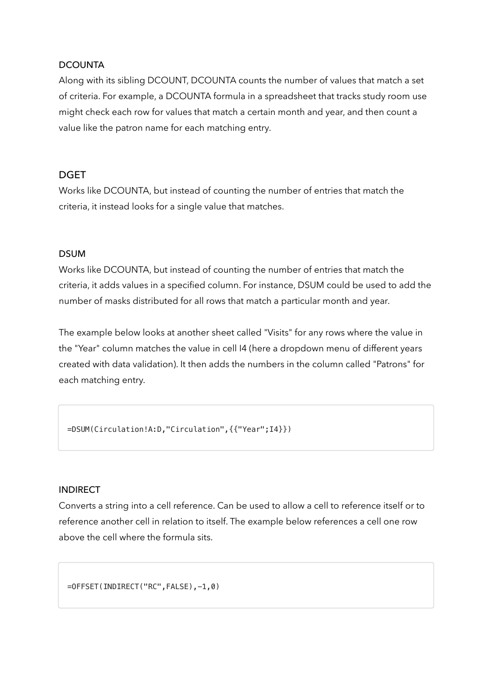#### **DCOUNTA**

Along with its sibling DCOUNT, DCOUNTA counts the number of values that match a set of criteria. For example, a DCOUNTA formula in a spreadsheet that tracks study room use might check each row for values that match a certain month and year, and then count a value like the patron name for each matching entry.

### DGET

Works like DCOUNTA, but instead of counting the number of entries that match the criteria, it instead looks for a single value that matches.

### DSUM

Works like DCOUNTA, but instead of counting the number of entries that match the criteria, it adds values in a specified column. For instance, DSUM could be used to add the number of masks distributed for all rows that match a particular month and year.

The example below looks at another sheet called "Visits" for any rows where the value in the "Year" column matches the value in cell I4 (here a dropdown menu of different years created with data validation). It then adds the numbers in the column called "Patrons" for each matching entry.

=DSUM(Circulation!A:D,"Circulation",{{"Year";I4}})

#### INDIRECT

Converts a string into a cell reference. Can be used to allow a cell to reference itself or to reference another cell in relation to itself. The example below references a cell one row above the cell where the formula sits.

=OFFSET(INDIRECT("RC",FALSE),-1,0)